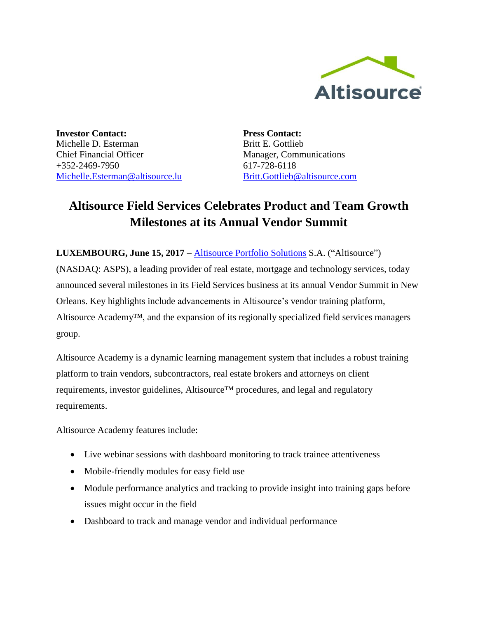

**Investor Contact:** Michelle D. Esterman Chief Financial Officer +352-2469-7950 [Michelle.Esterman@altisource.lu](mailto:Michelle.Esterman@altisource.lu) **Press Contact:** Britt E. Gottlieb Manager, Communications 617-728-6118 [Britt.Gottlieb@altisource.com](mailto:Britt.Gottlieb@altisource.com)

## **Altisource Field Services Celebrates Product and Team Growth Milestones at its Annual Vendor Summit**

**LUXEMBOURG, June 15, 2017** – Altisource [Portfolio Solutions](http://www.altisource.com/?utm_campaign=FieldServicesMomentum&utm_source=PR&utm_medium=PR&utm_content=first) S.A. ("Altisource")

(NASDAQ: ASPS), a leading provider of real estate, mortgage and technology services, today announced several milestones in its Field Services business at its annual Vendor Summit in New Orleans. Key highlights include advancements in Altisource's vendor training platform, Altisource Academy™, and the expansion of its regionally specialized field services managers group.

Altisource Academy is a dynamic learning management system that includes a robust training platform to train vendors, subcontractors, real estate brokers and attorneys on client requirements, investor guidelines, Altisource™ procedures, and legal and regulatory requirements.

Altisource Academy features include:

- Live webinar sessions with dashboard monitoring to track trainee attentiveness
- Mobile-friendly modules for easy field use
- Module performance analytics and tracking to provide insight into training gaps before issues might occur in the field
- Dashboard to track and manage vendor and individual performance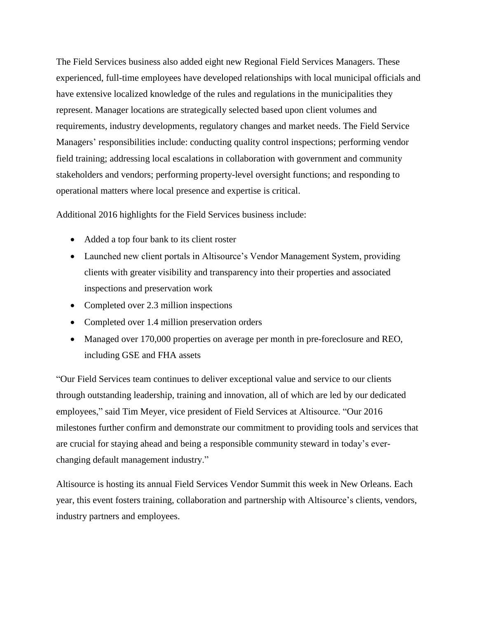The Field Services business also added eight new Regional Field Services Managers. These experienced, full-time employees have developed relationships with local municipal officials and have extensive localized knowledge of the rules and regulations in the municipalities they represent. Manager locations are strategically selected based upon client volumes and requirements, industry developments, regulatory changes and market needs. The Field Service Managers' responsibilities include: conducting quality control inspections; performing vendor field training; addressing local escalations in collaboration with government and community stakeholders and vendors; performing property-level oversight functions; and responding to operational matters where local presence and expertise is critical.

Additional 2016 highlights for the Field Services business include:

- Added a top four bank to its client roster
- Launched new client portals in Altisource's Vendor Management System, providing clients with greater visibility and transparency into their properties and associated inspections and preservation work
- Completed over 2.3 million inspections
- Completed over 1.4 million preservation orders
- Managed over 170,000 properties on average per month in pre-foreclosure and REO, including GSE and FHA assets

"Our Field Services team continues to deliver exceptional value and service to our clients through outstanding leadership, training and innovation, all of which are led by our dedicated employees," said Tim Meyer, vice president of Field Services at Altisource. "Our 2016 milestones further confirm and demonstrate our commitment to providing tools and services that are crucial for staying ahead and being a responsible community steward in today's everchanging default management industry."

Altisource is hosting its annual Field Services Vendor Summit this week in New Orleans. Each year, this event fosters training, collaboration and partnership with Altisource's clients, vendors, industry partners and employees.